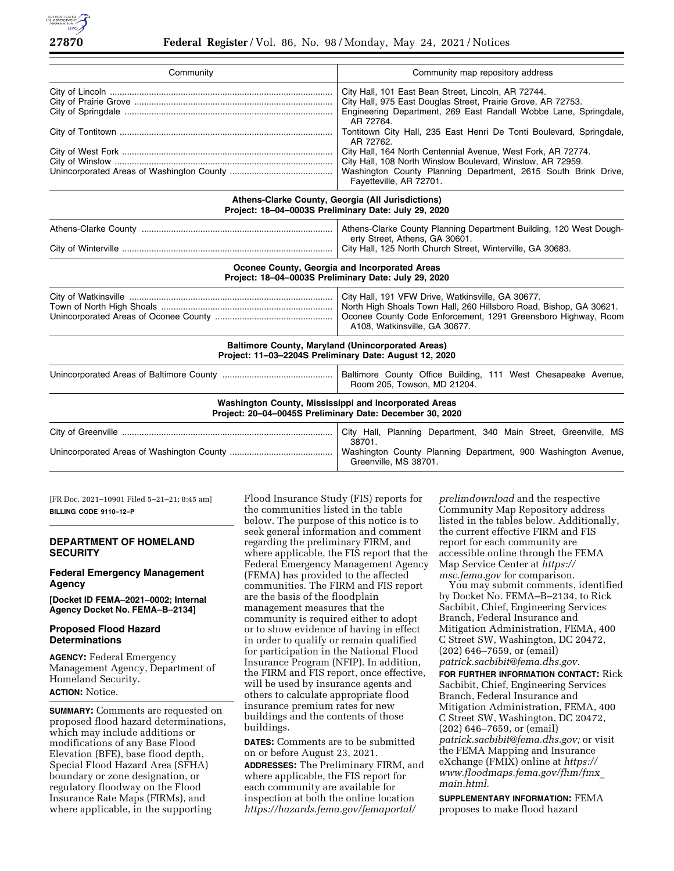

| Community                                                                                                         | Community map repository address                                                                                                                                                                                                                                                                            |
|-------------------------------------------------------------------------------------------------------------------|-------------------------------------------------------------------------------------------------------------------------------------------------------------------------------------------------------------------------------------------------------------------------------------------------------------|
|                                                                                                                   | City Hall, 101 East Bean Street, Lincoln, AR 72744.<br>City Hall, 975 East Douglas Street, Prairie Grove, AR 72753.<br>Engineering Department, 269 East Randall Wobbe Lane, Springdale,<br>AR 72764.                                                                                                        |
|                                                                                                                   | Tontitown City Hall, 235 East Henri De Tonti Boulevard, Springdale,<br>AR 72762.<br>City Hall, 164 North Centennial Avenue, West Fork, AR 72774.<br>City Hall, 108 North Winslow Boulevard, Winslow, AR 72959.<br>Washington County Planning Department, 2615 South Brink Drive,<br>Fayetteville, AR 72701. |
| Athens-Clarke County, Georgia (All Jurisdictions)<br>Project: 18-04-0003S Preliminary Date: July 29, 2020         |                                                                                                                                                                                                                                                                                                             |
|                                                                                                                   | Athens-Clarke County Planning Department Building, 120 West Dough-<br>erty Street, Athens, GA 30601.<br>City Hall, 125 North Church Street, Winterville, GA 30683.                                                                                                                                          |
| Oconee County, Georgia and Incorporated Areas<br>Project: 18-04-0003S Preliminary Date: July 29, 2020             |                                                                                                                                                                                                                                                                                                             |
|                                                                                                                   | City Hall, 191 VFW Drive, Watkinsville, GA 30677.<br>North High Shoals Town Hall, 260 Hillsboro Road, Bishop, GA 30621.<br>Oconee County Code Enforcement, 1291 Greensboro Highway, Room<br>A108, Watkinsville, GA 30677.                                                                                   |
| Project: 11-03-2204S Preliminary Date: August 12, 2020                                                            | <b>Baltimore County, Maryland (Unincorporated Areas)</b>                                                                                                                                                                                                                                                    |
|                                                                                                                   | Baltimore County Office Building, 111 West Chesapeake Avenue,<br>Room 205, Towson, MD 21204.                                                                                                                                                                                                                |
| Washington County, Mississippi and Incorporated Areas<br>Project: 20-04-0045S Preliminary Date: December 30, 2020 |                                                                                                                                                                                                                                                                                                             |
|                                                                                                                   | City Hall, Planning Department, 340 Main Street, Greenville, MS<br>38701.<br>Washington County Planning Department, 900 Washington Avenue,<br>Greenville, MS 38701.                                                                                                                                         |

[FR Doc. 2021–10901 Filed 5–21–21; 8:45 am] **BILLING CODE 9110–12–P** 

# **DEPARTMENT OF HOMELAND SECURITY**

### **Federal Emergency Management Agency**

**[Docket ID FEMA–2021–0002; Internal Agency Docket No. FEMA–B–2134]** 

# **Proposed Flood Hazard Determinations**

**AGENCY:** Federal Emergency Management Agency, Department of Homeland Security. **ACTION:** Notice.

**SUMMARY:** Comments are requested on proposed flood hazard determinations, which may include additions or modifications of any Base Flood Elevation (BFE), base flood depth, Special Flood Hazard Area (SFHA) boundary or zone designation, or regulatory floodway on the Flood Insurance Rate Maps (FIRMs), and where applicable, in the supporting

Flood Insurance Study (FIS) reports for the communities listed in the table below. The purpose of this notice is to seek general information and comment regarding the preliminary FIRM, and where applicable, the FIS report that the Federal Emergency Management Agency (FEMA) has provided to the affected communities. The FIRM and FIS report are the basis of the floodplain management measures that the community is required either to adopt or to show evidence of having in effect in order to qualify or remain qualified for participation in the National Flood Insurance Program (NFIP). In addition, the FIRM and FIS report, once effective, will be used by insurance agents and others to calculate appropriate flood insurance premium rates for new buildings and the contents of those buildings.

**DATES:** Comments are to be submitted on or before August 23, 2021.

**ADDRESSES:** The Preliminary FIRM, and where applicable, the FIS report for each community are available for inspection at both the online location *[https://hazards.fema.gov/femaportal/](https://hazards.fema.gov/femaportal/prelimdownload)* 

*[prelimdownload](https://hazards.fema.gov/femaportal/prelimdownload)* and the respective Community Map Repository address listed in the tables below. Additionally, the current effective FIRM and FIS report for each community are accessible online through the FEMA Map Service Center at *[https://](https://msc.fema.gov) [msc.fema.gov](https://msc.fema.gov)* for comparison.

You may submit comments, identified by Docket No. FEMA–B–2134, to Rick Sacbibit, Chief, Engineering Services Branch, Federal Insurance and Mitigation Administration, FEMA, 400 C Street SW, Washington, DC 20472, (202) 646–7659, or (email) *[patrick.sacbibit@fema.dhs.gov.](mailto:patrick.sacbibit@fema.dhs.gov)* 

**FOR FURTHER INFORMATION CONTACT:** Rick Sacbibit, Chief, Engineering Services Branch, Federal Insurance and Mitigation Administration, FEMA, 400 C Street SW, Washington, DC 20472, (202) 646–7659, or (email) *[patrick.sacbibit@fema.dhs.gov;](mailto:patrick.sacbibit@fema.dhs.gov)* or visit the FEMA Mapping and Insurance eXchange (FMIX) online at *[https://](https://www.floodmaps.fema.gov/fhm/fmx_main.html) [www.floodmaps.fema.gov/fhm/fmx](https://www.floodmaps.fema.gov/fhm/fmx_main.html)*\_ *[main.html.](https://www.floodmaps.fema.gov/fhm/fmx_main.html)* 

**SUPPLEMENTARY INFORMATION:** FEMA proposes to make flood hazard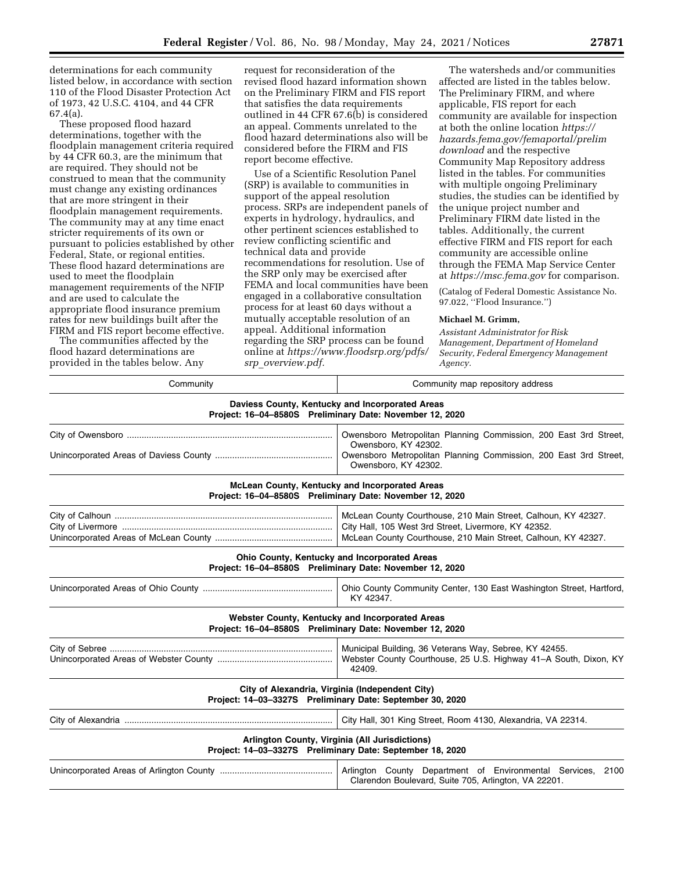determinations for each community listed below, in accordance with section 110 of the Flood Disaster Protection Act of 1973, 42 U.S.C. 4104, and 44 CFR 67.4(a).

These proposed flood hazard determinations, together with the floodplain management criteria required by 44 CFR 60.3, are the minimum that are required. They should not be construed to mean that the community must change any existing ordinances that are more stringent in their floodplain management requirements. The community may at any time enact stricter requirements of its own or pursuant to policies established by other Federal, State, or regional entities. These flood hazard determinations are used to meet the floodplain management requirements of the NFIP and are used to calculate the appropriate flood insurance premium rates for new buildings built after the FIRM and FIS report become effective.

The communities affected by the flood hazard determinations are provided in the tables below. Any

request for reconsideration of the revised flood hazard information shown on the Preliminary FIRM and FIS report that satisfies the data requirements outlined in 44 CFR 67.6(b) is considered an appeal. Comments unrelated to the flood hazard determinations also will be considered before the FIRM and FIS report become effective.

Use of a Scientific Resolution Panel (SRP) is available to communities in support of the appeal resolution process. SRPs are independent panels of experts in hydrology, hydraulics, and other pertinent sciences established to review conflicting scientific and technical data and provide recommendations for resolution. Use of the SRP only may be exercised after FEMA and local communities have been engaged in a collaborative consultation process for at least 60 days without a mutually acceptable resolution of an appeal. Additional information regarding the SRP process can be found online at *[https://www.floodsrp.org/pdfs/](https://www.floodsrp.org/pdfs/srp_overview.pdf) srp*\_*[overview.pdf.](https://www.floodsrp.org/pdfs/srp_overview.pdf)* 

The watersheds and/or communities affected are listed in the tables below. The Preliminary FIRM, and where applicable, FIS report for each community are available for inspection at both the online location *[https://](https://hazards.fema.gov/femaportal/prelimdownload) [hazards.fema.gov/femaportal/prelim](https://hazards.fema.gov/femaportal/prelimdownload) [download](https://hazards.fema.gov/femaportal/prelimdownload)* and the respective Community Map Repository address listed in the tables. For communities with multiple ongoing Preliminary studies, the studies can be identified by the unique project number and Preliminary FIRM date listed in the tables. Additionally, the current effective FIRM and FIS report for each community are accessible online through the FEMA Map Service Center at *<https://msc.fema.gov>*for comparison.

(Catalog of Federal Domestic Assistance No. 97.022, ''Flood Insurance.'')

### **Michael M. Grimm,**

*Assistant Administrator for Risk Management, Department of Homeland Security, Federal Emergency Management Agency.* 

| Community map repository address                                                                                                                                                       |
|----------------------------------------------------------------------------------------------------------------------------------------------------------------------------------------|
| Daviess County, Kentucky and Incorporated Areas<br>Project: 16-04-8580S Preliminary Date: November 12, 2020                                                                            |
| Owensboro Metropolitan Planning Commission, 200 East 3rd Street,<br>Owensboro, KY 42302.                                                                                               |
| Owensboro Metropolitan Planning Commission, 200 East 3rd Street,<br>Owensboro, KY 42302.                                                                                               |
| McLean County, Kentucky and Incorporated Areas<br>Project: 16-04-8580S Preliminary Date: November 12, 2020                                                                             |
| McLean County Courthouse, 210 Main Street, Calhoun, KY 42327.<br>City Hall, 105 West 3rd Street, Livermore, KY 42352.<br>McLean County Courthouse, 210 Main Street, Calhoun, KY 42327. |
| Ohio County, Kentucky and Incorporated Areas<br>Project: 16-04-8580S Preliminary Date: November 12, 2020                                                                               |
| Ohio County Community Center, 130 East Washington Street, Hartford,<br>KY 42347.                                                                                                       |
| Webster County, Kentucky and Incorporated Areas<br>Project: 16-04-8580S Preliminary Date: November 12, 2020                                                                            |
| Municipal Building, 36 Veterans Way, Sebree, KY 42455.<br>Webster County Courthouse, 25 U.S. Highway 41–A South, Dixon, KY<br>42409.                                                   |
| City of Alexandria, Virginia (Independent City)<br>Project: 14-03-3327S Preliminary Date: September 30, 2020                                                                           |
| City Hall, 301 King Street, Room 4130, Alexandria, VA 22314.                                                                                                                           |
| Arlington County, Virginia (All Jurisdictions)<br>Project: 14-03-3327S Preliminary Date: September 18, 2020                                                                            |
| Arlington County Department of Environmental Services,<br>2100<br>Clarendon Boulevard, Suite 705, Arlington, VA 22201.                                                                 |
|                                                                                                                                                                                        |